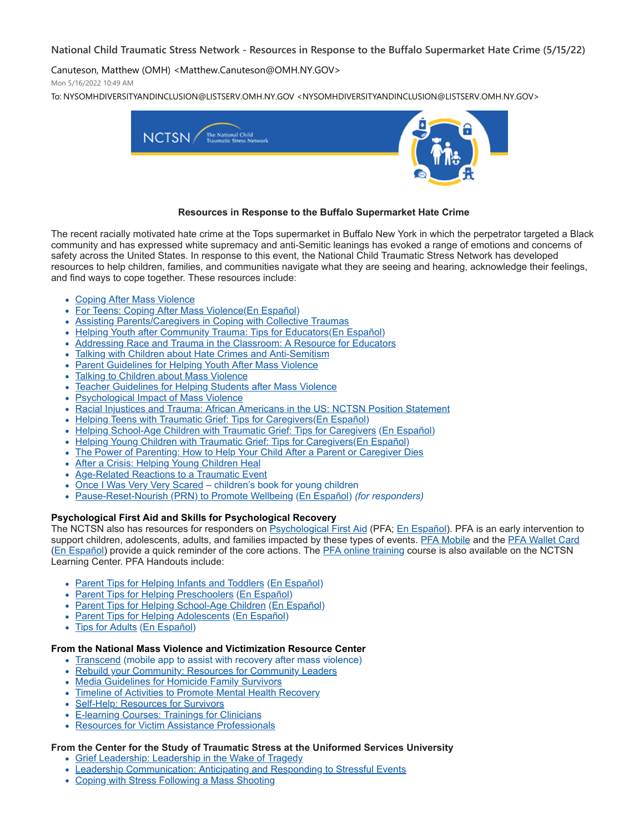# **National Child Traumatic Stress Network - Resources in Response to the Buffalo Supermarket Hate Crime (5/15/22)**

Canuteson, Matthew (OMH) <Matthew.Canuteson@OMH.NY.GOV>

Mon 5/16/2022 10:49 AM

To: NYSOMHDIVERSITYANDINCLUSION@LISTSERV.OMH.NY.GOV <NYSOMHDIVERSITYANDINCLUSION@LISTSERV.OMH.NY.GOV>



#### **Resources in Response to the Buffalo Supermarket Hate Crime**

The recent racially motivated hate crime at the Tops supermarket in Buffalo New York in which the perpetrator targeted a Black community and has expressed white supremacy and anti-Semitic leanings has evoked a range of emotions and concerns of safety across the United States. In response to this event, the National Child Traumatic Stress Network has developed resources to help children, families, and communities navigate what they are seeing and hearing, acknowledge their feelings, and find ways to cope together. These resources include:

- [Coping After Mass Violence](https://nam02.safelinks.protection.outlook.com/?url=https%3A%2F%2Fwww.nctsn.org%2Fresources%2Fcoping-after-mass-violence&data=05%7C01%7Crmc277%40shp.rutgers.edu%7Cee2514b70ed54c62c6ba08da374b5377%7Cb92d2b234d35447093ff69aca6632ffe%7C1%7C0%7C637883093929196072%7CUnknown%7CTWFpbGZsb3d8eyJWIjoiMC4wLjAwMDAiLCJQIjoiV2luMzIiLCJBTiI6Ik1haWwiLCJXVCI6Mn0%3D%7C3000%7C%7C%7C&sdata=wH4WZHnzWXpw1OmuVlmZnW2hP%2B7gomH%2BbL7JyYRaupM%3D&reserved=0)
- For Teens: Coping After Mass Violence ([En Español](https://nam02.safelinks.protection.outlook.com/?url=https%3A%2F%2Fwww.nctsn.org%2Fresources%2Ffor-teens-coping-after-mass-violence-sp&data=05%7C01%7Crmc277%40shp.rutgers.edu%7Cee2514b70ed54c62c6ba08da374b5377%7Cb92d2b234d35447093ff69aca6632ffe%7C1%7C0%7C637883093929196072%7CUnknown%7CTWFpbGZsb3d8eyJWIjoiMC4wLjAwMDAiLCJQIjoiV2luMzIiLCJBTiI6Ik1haWwiLCJXVCI6Mn0%3D%7C3000%7C%7C%7C&sdata=XatO5bwnvGeNt1T%2BD5RB3aDaTc1zjH%2BLtowpoNGnqGE%3D&reserved=0))
- [Assisting Parents/Caregivers in Coping with Collective Traumas](https://nam02.safelinks.protection.outlook.com/?url=https%3A%2F%2Fwww.nctsn.org%2Fresources%2Fassisting-parents-caregivers-in-coping-with-collective-traumas&data=05%7C01%7Crmc277%40shp.rutgers.edu%7Cee2514b70ed54c62c6ba08da374b5377%7Cb92d2b234d35447093ff69aca6632ffe%7C1%7C0%7C637883093929196072%7CUnknown%7CTWFpbGZsb3d8eyJWIjoiMC4wLjAwMDAiLCJQIjoiV2luMzIiLCJBTiI6Ik1haWwiLCJXVCI6Mn0%3D%7C3000%7C%7C%7C&sdata=1Ab%2BiF8GKaifkeiiCoiqZEcAwVgTs0U74E6ll53EQ%2Bk%3D&reserved=0)
- [Helping Youth after Community Trauma: Tips for Educators](https://nam02.safelinks.protection.outlook.com/?url=https%3A%2F%2Fwww.nctsn.org%2Fresources%2Fhelping-youth-after-community-trauma-tips-educators&data=05%7C01%7Crmc277%40shp.rutgers.edu%7Cee2514b70ed54c62c6ba08da374b5377%7Cb92d2b234d35447093ff69aca6632ffe%7C1%7C0%7C637883093929196072%7CUnknown%7CTWFpbGZsb3d8eyJWIjoiMC4wLjAwMDAiLCJQIjoiV2luMzIiLCJBTiI6Ik1haWwiLCJXVCI6Mn0%3D%7C3000%7C%7C%7C&sdata=xdydddnW00IhJ447BYlMtif8MIEeZwh%2FGs25W6oGSXk%3D&reserved=0)[\(En Español](https://nam02.safelinks.protection.outlook.com/?url=https%3A%2F%2Fwww.nctsn.org%2Fresources%2Fhelping-youth-after-community-trauma-tips-educators-sp&data=05%7C01%7Crmc277%40shp.rutgers.edu%7Cee2514b70ed54c62c6ba08da374b5377%7Cb92d2b234d35447093ff69aca6632ffe%7C1%7C0%7C637883093929196072%7CUnknown%7CTWFpbGZsb3d8eyJWIjoiMC4wLjAwMDAiLCJQIjoiV2luMzIiLCJBTiI6Ik1haWwiLCJXVCI6Mn0%3D%7C3000%7C%7C%7C&sdata=y4IWYSHQyiIuWr0iRmH026GuyiG8jY7vwyGiR%2FOXw10%3D&reserved=0))
- [Addressing Race and Trauma in the Classroom: A Resource for Educators](https://nam02.safelinks.protection.outlook.com/?url=https%3A%2F%2Fwww.nctsn.org%2Fresources%2Faddressing-race-and-trauma-classroom-resource-educators&data=05%7C01%7Crmc277%40shp.rutgers.edu%7Cee2514b70ed54c62c6ba08da374b5377%7Cb92d2b234d35447093ff69aca6632ffe%7C1%7C0%7C637883093929196072%7CUnknown%7CTWFpbGZsb3d8eyJWIjoiMC4wLjAwMDAiLCJQIjoiV2luMzIiLCJBTiI6Ik1haWwiLCJXVCI6Mn0%3D%7C3000%7C%7C%7C&sdata=kCweCrPAf9uD0hYA4z8do9ouWDIH7hqzmzW3vOyWizE%3D&reserved=0)
- [Talking with Children about Hate Crimes and Anti-Semitism](https://nam02.safelinks.protection.outlook.com/?url=https%3A%2F%2Fwww.nctsn.org%2Fresources%2Ftalking-to-children-about-hate-crimes-and-anti-semitism&data=05%7C01%7Crmc277%40shp.rutgers.edu%7Cee2514b70ed54c62c6ba08da374b5377%7Cb92d2b234d35447093ff69aca6632ffe%7C1%7C0%7C637883093929196072%7CUnknown%7CTWFpbGZsb3d8eyJWIjoiMC4wLjAwMDAiLCJQIjoiV2luMzIiLCJBTiI6Ik1haWwiLCJXVCI6Mn0%3D%7C3000%7C%7C%7C&sdata=CxDsIF3VxTwTYmiikHCIhf7m83H9Ew7q5Cli3%2BbzTVk%3D&reserved=0)
- [Parent Guidelines for Helping Youth After Mass Violence](https://nam02.safelinks.protection.outlook.com/?url=https%3A%2F%2Fwww.nctsn.org%2Fresources%2Fparent-guidelines-helping-youth-after-mass-violence&data=05%7C01%7Crmc277%40shp.rutgers.edu%7Cee2514b70ed54c62c6ba08da374b5377%7Cb92d2b234d35447093ff69aca6632ffe%7C1%7C0%7C637883093929196072%7CUnknown%7CTWFpbGZsb3d8eyJWIjoiMC4wLjAwMDAiLCJQIjoiV2luMzIiLCJBTiI6Ik1haWwiLCJXVCI6Mn0%3D%7C3000%7C%7C%7C&sdata=zyDU0VG5dQ2y1IUaPX3j814k0tbzIPejp%2FQk8HR9VqA%3D&reserved=0)
- [Talking to Children about Mass Violence](https://nam02.safelinks.protection.outlook.com/?url=https%3A%2F%2Fwww.nctsn.org%2Fresources%2Ftalking-children-about-mass-violence&data=05%7C01%7Crmc277%40shp.rutgers.edu%7Cee2514b70ed54c62c6ba08da374b5377%7Cb92d2b234d35447093ff69aca6632ffe%7C1%7C0%7C637883093929196072%7CUnknown%7CTWFpbGZsb3d8eyJWIjoiMC4wLjAwMDAiLCJQIjoiV2luMzIiLCJBTiI6Ik1haWwiLCJXVCI6Mn0%3D%7C3000%7C%7C%7C&sdata=UgO2NFhf2hhZQXO9b7ffg7e%2Br7CQgRLlPDWXfHIbeEE%3D&reserved=0)
- [Teacher Guidelines for Helping Students after Mass Violence](https://nam02.safelinks.protection.outlook.com/?url=https%3A%2F%2Fwww.nctsn.org%2Fresources%2Fteacher-guidelines-helping-students-after-mass-violence&data=05%7C01%7Crmc277%40shp.rutgers.edu%7Cee2514b70ed54c62c6ba08da374b5377%7Cb92d2b234d35447093ff69aca6632ffe%7C1%7C0%7C637883093929196072%7CUnknown%7CTWFpbGZsb3d8eyJWIjoiMC4wLjAwMDAiLCJQIjoiV2luMzIiLCJBTiI6Ik1haWwiLCJXVCI6Mn0%3D%7C3000%7C%7C%7C&sdata=iBX0OSgfS0cIFyc8cnkmBFP1%2BJt%2F78dfgPAauUwPx%2Fw%3D&reserved=0)
- [Psychological Impact of Mass Violence](https://nam02.safelinks.protection.outlook.com/?url=https%3A%2F%2Fwww.nctsn.org%2Fresources%2Fpsychological-impact-mass-violence&data=05%7C01%7Crmc277%40shp.rutgers.edu%7Cee2514b70ed54c62c6ba08da374b5377%7Cb92d2b234d35447093ff69aca6632ffe%7C1%7C0%7C637883093929196072%7CUnknown%7CTWFpbGZsb3d8eyJWIjoiMC4wLjAwMDAiLCJQIjoiV2luMzIiLCJBTiI6Ik1haWwiLCJXVCI6Mn0%3D%7C3000%7C%7C%7C&sdata=6FCe50E7r8mwTh1v%2FURl0%2FZ0v6xKBHxogDecERt4ivA%3D&reserved=0)
- [Racial Injustices and Trauma: African Americans in the US: NCTSN Position Statement](https://nam02.safelinks.protection.outlook.com/?url=https%3A%2F%2Fwww.nctsn.org%2Fresources%2Fracial-injustice-and-trauma-african-americans-us-nctsn-position-statement&data=05%7C01%7Crmc277%40shp.rutgers.edu%7Cee2514b70ed54c62c6ba08da374b5377%7Cb92d2b234d35447093ff69aca6632ffe%7C1%7C0%7C637883093929196072%7CUnknown%7CTWFpbGZsb3d8eyJWIjoiMC4wLjAwMDAiLCJQIjoiV2luMzIiLCJBTiI6Ik1haWwiLCJXVCI6Mn0%3D%7C3000%7C%7C%7C&sdata=KC8R5CBh6FoZCX%2FEnnz0XHkR2DkkL9mo3lYkKDFUHi8%3D&reserved=0)
- [Helping Teens with Traumatic Grief: Tips for Caregivers](https://nam02.safelinks.protection.outlook.com/?url=https%3A%2F%2Furldefense.proofpoint.com%2Fv2%2Furl%3Fu%3Dhttps-3A__www.nctsn.org_resources_helping-2Dteens-2Dtraumatic-2Dgrief-2Dtips-2Dcaregivers%26d%3DDwMF-g%26c%3DUXmaowRpu5bLSLEQRunJ2z-YIUZuUoa9Rw_x449Hd_Y%26r%3DhzomOGg2G27ZjuZegYWWfu4EgrpiGCT_JunBM07Lj7Q%26m%3DPBo3q666RV0D6LuBFBnhXOvT09TTW0IR5fip18WrYZk%26s%3DUB9pSkIrdPpdA5UXjXa99VYSE458B68_jdqM09vqn5g%26e%3D&data=05%7C01%7Crmc277%40shp.rutgers.edu%7Cee2514b70ed54c62c6ba08da374b5377%7Cb92d2b234d35447093ff69aca6632ffe%7C1%7C0%7C637883093929196072%7CUnknown%7CTWFpbGZsb3d8eyJWIjoiMC4wLjAwMDAiLCJQIjoiV2luMzIiLCJBTiI6Ik1haWwiLCJXVCI6Mn0%3D%7C3000%7C%7C%7C&sdata=Sk318vDnAd6hnZAWwhfamLESai6dBahoP9YsQYs4FD8%3D&reserved=0)[\(En Español](https://nam02.safelinks.protection.outlook.com/?url=https%3A%2F%2Fwww.nctsn.org%2Fsites%2Fdefault%2Ffiles%2Fresources%2Ftip-sheet%2Fhelping-teens-with-traumatic-grief-for-caregivers-sp.pdf&data=05%7C01%7Crmc277%40shp.rutgers.edu%7Cee2514b70ed54c62c6ba08da374b5377%7Cb92d2b234d35447093ff69aca6632ffe%7C1%7C0%7C637883093929196072%7CUnknown%7CTWFpbGZsb3d8eyJWIjoiMC4wLjAwMDAiLCJQIjoiV2luMzIiLCJBTiI6Ik1haWwiLCJXVCI6Mn0%3D%7C3000%7C%7C%7C&sdata=yoJoTpGX4V5WldhflId7lRicMEfZUAtxEsbgIIz7h%2B4%3D&reserved=0))
- [Helping School-Age Children with Traumatic Grief: Tips for Caregivers](https://nam02.safelinks.protection.outlook.com/?url=https%3A%2F%2Furldefense.proofpoint.com%2Fv2%2Furl%3Fu%3Dhttps-3A__www.nctsn.org_resources_helping-2Dschool-2Dage-2Dchildren-2Dtraumatic-2Dgrief-2Dtips-2Dcaregivers%26d%3DDwMF-g%26c%3DUXmaowRpu5bLSLEQRunJ2z-YIUZuUoa9Rw_x449Hd_Y%26r%3DhzomOGg2G27ZjuZegYWWfu4EgrpiGCT_JunBM07Lj7Q%26m%3DPBo3q666RV0D6LuBFBnhXOvT09TTW0IR5fip18WrYZk%26s%3DZWzXei6w0w2OpuzcyeZOJ33CNYucR4qIxFhFhlnDYAQ%26e%3D&data=05%7C01%7Crmc277%40shp.rutgers.edu%7Cee2514b70ed54c62c6ba08da374b5377%7Cb92d2b234d35447093ff69aca6632ffe%7C1%7C0%7C637883093929196072%7CUnknown%7CTWFpbGZsb3d8eyJWIjoiMC4wLjAwMDAiLCJQIjoiV2luMzIiLCJBTiI6Ik1haWwiLCJXVCI6Mn0%3D%7C3000%7C%7C%7C&sdata=KophqlVE%2BBOhLDmWw1r2ET2k9k3aHN9Y6JfwRQaayo4%3D&reserved=0) ([En Español](https://nam02.safelinks.protection.outlook.com/?url=https%3A%2F%2Fwww.nctsn.org%2Fresources%2Fhelping-school-age-children-traumatic-grief-tips-caregivers-sp&data=05%7C01%7Crmc277%40shp.rutgers.edu%7Cee2514b70ed54c62c6ba08da374b5377%7Cb92d2b234d35447093ff69aca6632ffe%7C1%7C0%7C637883093929196072%7CUnknown%7CTWFpbGZsb3d8eyJWIjoiMC4wLjAwMDAiLCJQIjoiV2luMzIiLCJBTiI6Ik1haWwiLCJXVCI6Mn0%3D%7C3000%7C%7C%7C&sdata=zfL4z%2BPPs82K%2F70Yf%2Bf2sD8vsfGw1ZtXsZaCPtw6X34%3D&reserved=0))
- [Helping Young Children with Traumatic Grief: Tips for Caregivers](https://nam02.safelinks.protection.outlook.com/?url=https%3A%2F%2Furldefense.proofpoint.com%2Fv2%2Furl%3Fu%3Dhttps-3A__www.nctsn.org_resources_helping-2Dyoung-2Dchildren-2Dtraumatic-2Dgrief-2Dtips-2Dcaregivers%26d%3DDwMF-g%26c%3DUXmaowRpu5bLSLEQRunJ2z-YIUZuUoa9Rw_x449Hd_Y%26r%3DhzomOGg2G27ZjuZegYWWfu4EgrpiGCT_JunBM07Lj7Q%26m%3DPBo3q666RV0D6LuBFBnhXOvT09TTW0IR5fip18WrYZk%26s%3DQ9x-ra0PpbsJCCBnAAQVt8sFwTY6KaNuou5mywYI9HA%26e%3D&data=05%7C01%7Crmc277%40shp.rutgers.edu%7Cee2514b70ed54c62c6ba08da374b5377%7Cb92d2b234d35447093ff69aca6632ffe%7C1%7C0%7C637883093929352295%7CUnknown%7CTWFpbGZsb3d8eyJWIjoiMC4wLjAwMDAiLCJQIjoiV2luMzIiLCJBTiI6Ik1haWwiLCJXVCI6Mn0%3D%7C3000%7C%7C%7C&sdata=3dNjMn8K0fwo2IbrYyLmwKoFidJZIQ%2BbDhb0jhRixxc%3D&reserved=0)[\(En Español\)](https://nam02.safelinks.protection.outlook.com/?url=https%3A%2F%2Fwww.nctsn.org%2Fresources%2Fhelping-young-children-traumatic-grief-tips-caregivers-sp&data=05%7C01%7Crmc277%40shp.rutgers.edu%7Cee2514b70ed54c62c6ba08da374b5377%7Cb92d2b234d35447093ff69aca6632ffe%7C1%7C0%7C637883093929352295%7CUnknown%7CTWFpbGZsb3d8eyJWIjoiMC4wLjAwMDAiLCJQIjoiV2luMzIiLCJBTiI6Ik1haWwiLCJXVCI6Mn0%3D%7C3000%7C%7C%7C&sdata=vhx%2B1G7jnSGlgW%2BmTsZGq%2FnVc840vkEoRnGds8isKVE%3D&reserved=0)
- [The Power of Parenting: How to Help Your Child After a Parent or Caregiver Dies](https://nam02.safelinks.protection.outlook.com/?url=https%3A%2F%2Furldefense.proofpoint.com%2Fv2%2Furl%3Fu%3Dhttps-3A__www.nctsn.org_resources_power-2Dof-2Dparenting-2Dhow-2Dto-2Dhelp-2Dyour-2Dchild-2Dafter-2Da-2Dparent-2Dor-2Dcaregiver-2Ddies%26d%3DDwMF-g%26c%3DUXmaowRpu5bLSLEQRunJ2z-YIUZuUoa9Rw_x449Hd_Y%26r%3DhzomOGg2G27ZjuZegYWWfu4EgrpiGCT_JunBM07Lj7Q%26m%3DPBo3q666RV0D6LuBFBnhXOvT09TTW0IR5fip18WrYZk%26s%3DvrLUBVRLXcoxW7y-IE7MY3pDIFJBDpn6Ow4V7lkXotY%26e%3D&data=05%7C01%7Crmc277%40shp.rutgers.edu%7Cee2514b70ed54c62c6ba08da374b5377%7Cb92d2b234d35447093ff69aca6632ffe%7C1%7C0%7C637883093929352295%7CUnknown%7CTWFpbGZsb3d8eyJWIjoiMC4wLjAwMDAiLCJQIjoiV2luMzIiLCJBTiI6Ik1haWwiLCJXVCI6Mn0%3D%7C3000%7C%7C%7C&sdata=%2FkjcPEYnn8WfsIgpc44Vt50h%2B0%2F2QHDm1QKCFNZmjpo%3D&reserved=0)
- [After a Crisis: Helping Young Children Heal](https://nam02.safelinks.protection.outlook.com/?url=https%3A%2F%2Fwww.nctsn.org%2Fresources%2Fafter-crisis-helping-young-children-heal&data=05%7C01%7Crmc277%40shp.rutgers.edu%7Cee2514b70ed54c62c6ba08da374b5377%7Cb92d2b234d35447093ff69aca6632ffe%7C1%7C0%7C637883093929352295%7CUnknown%7CTWFpbGZsb3d8eyJWIjoiMC4wLjAwMDAiLCJQIjoiV2luMzIiLCJBTiI6Ik1haWwiLCJXVCI6Mn0%3D%7C3000%7C%7C%7C&sdata=F6pi8Sq3LEkzh497Imrl4bXoaWykVi2iEGQuy5zMVYo%3D&reserved=0)
- [Age-Related Reactions to a Traumatic Event](https://nam02.safelinks.protection.outlook.com/?url=https%3A%2F%2Fwww.nctsn.org%2Fresources%2Fage-related-reactions-traumatic-event&data=05%7C01%7Crmc277%40shp.rutgers.edu%7Cee2514b70ed54c62c6ba08da374b5377%7Cb92d2b234d35447093ff69aca6632ffe%7C1%7C0%7C637883093929352295%7CUnknown%7CTWFpbGZsb3d8eyJWIjoiMC4wLjAwMDAiLCJQIjoiV2luMzIiLCJBTiI6Ik1haWwiLCJXVCI6Mn0%3D%7C3000%7C%7C%7C&sdata=QFmr4kPguiStpXPTHkT6R6w20UeaVIvuNrT6BVxgcOM%3D&reserved=0)
- [Once I Was Very Very Scared](https://nam02.safelinks.protection.outlook.com/?url=https%3A%2F%2Fpiploproductions.com%2Fstories%2Fonce%2F&data=05%7C01%7Crmc277%40shp.rutgers.edu%7Cee2514b70ed54c62c6ba08da374b5377%7Cb92d2b234d35447093ff69aca6632ffe%7C1%7C0%7C637883093929352295%7CUnknown%7CTWFpbGZsb3d8eyJWIjoiMC4wLjAwMDAiLCJQIjoiV2luMzIiLCJBTiI6Ik1haWwiLCJXVCI6Mn0%3D%7C3000%7C%7C%7C&sdata=kcYbdqroES0sosJ4NG0aNfZ7fF6WXUX23oJJyIv7y8A%3D&reserved=0)  children's book for young children
- [Pause-Reset-Nourish \(PRN\) to Promote Wellbeing](https://nam02.safelinks.protection.outlook.com/?url=https%3A%2F%2Fwww.nctsn.org%2Fresources%2Fpause-reset-nourish-to-promote-wellbeing-use-as-needed-to-care-for-your-wellness&data=05%7C01%7Crmc277%40shp.rutgers.edu%7Cee2514b70ed54c62c6ba08da374b5377%7Cb92d2b234d35447093ff69aca6632ffe%7C1%7C0%7C637883093929352295%7CUnknown%7CTWFpbGZsb3d8eyJWIjoiMC4wLjAwMDAiLCJQIjoiV2luMzIiLCJBTiI6Ik1haWwiLCJXVCI6Mn0%3D%7C3000%7C%7C%7C&sdata=AjHk0vsGEMWmZfpzCIFkfexRJKjHgV6wg1%2FeVxJvVes%3D&reserved=0) ([En Español](https://nam02.safelinks.protection.outlook.com/?url=https%3A%2F%2Fwww.nctsn.org%2Fresources%2Fprn-to-promote-wellbeing-as-needed-to-care-for-your-wellness-sp&data=05%7C01%7Crmc277%40shp.rutgers.edu%7Cee2514b70ed54c62c6ba08da374b5377%7Cb92d2b234d35447093ff69aca6632ffe%7C1%7C0%7C637883093929352295%7CUnknown%7CTWFpbGZsb3d8eyJWIjoiMC4wLjAwMDAiLCJQIjoiV2luMzIiLCJBTiI6Ik1haWwiLCJXVCI6Mn0%3D%7C3000%7C%7C%7C&sdata=CzSZKXw1QtE7McRZToko8MQ6y6fVI03%2B9AcdVi1rUno%3D&reserved=0)) *(for responders)*

## **Psychological First Aid and Skills for Psychological Recovery**

The NCTSN also has resources for responders on **[Psychological First Aid](https://nam02.safelinks.protection.outlook.com/?url=https%3A%2F%2Furldefense.com%2Fv3%2F__https%3A%2Fwww.nctsn.org%2Fresources%2Fpsychological-first-aid-pfa-field-operations-guide-2nd-edition__%3B!!F9wkZZsI-LA!SIUd2q2njiJ43vJbtUGCEzLFZoCI14Jsv1upSAIdkNbS-wUig4YMKjsW27WviG5a6caP%24&data=05%7C01%7Crmc277%40shp.rutgers.edu%7Cee2514b70ed54c62c6ba08da374b5377%7Cb92d2b234d35447093ff69aca6632ffe%7C1%7C0%7C637883093929352295%7CUnknown%7CTWFpbGZsb3d8eyJWIjoiMC4wLjAwMDAiLCJQIjoiV2luMzIiLCJBTiI6Ik1haWwiLCJXVCI6Mn0%3D%7C3000%7C%7C%7C&sdata=UMkB9PlqMTQ0uiWLD90Duhs0A6vMbg38u2MtkvZ59TA%3D&reserved=0) (PFA; [En Español](https://nam02.safelinks.protection.outlook.com/?url=https%3A%2F%2Furldefense.com%2Fv3%2F__https%3A%2Fwww.nctsn.org%2Fresources%2Fprimeros-auxilios-psicologicos-guia-de-operaciones-practicas-2da-edicion__%3B!!F9wkZZsI-LA!SIUd2q2njiJ43vJbtUGCEzLFZoCI14Jsv1upSAIdkNbS-wUig4YMKjsW27WviGtpkaxs%24&data=05%7C01%7Crmc277%40shp.rutgers.edu%7Cee2514b70ed54c62c6ba08da374b5377%7Cb92d2b234d35447093ff69aca6632ffe%7C1%7C0%7C637883093929352295%7CUnknown%7CTWFpbGZsb3d8eyJWIjoiMC4wLjAwMDAiLCJQIjoiV2luMzIiLCJBTiI6Ik1haWwiLCJXVCI6Mn0%3D%7C3000%7C%7C%7C&sdata=4HDfxNjeGajp4uKCfEGM3SKM4aCgeq31zbvPxiSvkN4%3D&reserved=0)**). PFA is an early intervention to support children, adolescents, adults, and families impacted by these types of events. [PFA Mobile](https://nam02.safelinks.protection.outlook.com/?url=https%3A%2F%2Fwww.nctsn.org%2Fresources%2Fpfa-mobile&data=05%7C01%7Crmc277%40shp.rutgers.edu%7Cee2514b70ed54c62c6ba08da374b5377%7Cb92d2b234d35447093ff69aca6632ffe%7C1%7C0%7C637883093929352295%7CUnknown%7CTWFpbGZsb3d8eyJWIjoiMC4wLjAwMDAiLCJQIjoiV2luMzIiLCJBTiI6Ik1haWwiLCJXVCI6Mn0%3D%7C3000%7C%7C%7C&sdata=4ZmjOGLEkz83gcoB6XVyxBtUBencGhTl9MHjUmaQ%2ByM%3D&reserved=0) and the [PFA Wallet Card](https://nam02.safelinks.protection.outlook.com/?url=https%3A%2F%2Furldefense.com%2Fv3%2F__https%3A%2Fwww.nctsn.org%2Fresources%2Fpsychological-first-aid-pfa-wallet-card__%3B!!F9wkZZsI-LA!SIUd2q2njiJ43vJbtUGCEzLFZoCI14Jsv1upSAIdkNbS-wUig4YMKjsW27WviLYN40Vn%24&data=05%7C01%7Crmc277%40shp.rutgers.edu%7Cee2514b70ed54c62c6ba08da374b5377%7Cb92d2b234d35447093ff69aca6632ffe%7C1%7C0%7C637883093929352295%7CUnknown%7CTWFpbGZsb3d8eyJWIjoiMC4wLjAwMDAiLCJQIjoiV2luMzIiLCJBTiI6Ik1haWwiLCJXVCI6Mn0%3D%7C3000%7C%7C%7C&sdata=o3zDjSjFrPaYc4yT%2BW%2Bxkj3BhufSVLaDIqUfp6UAH%2F4%3D&reserved=0) ([En Español\)](https://nam02.safelinks.protection.outlook.com/?url=https%3A%2F%2Furldefense.com%2Fv3%2F__https%3A%2Fwww.nctsn.org%2Fresources%2Fpsychological-first-aid-pfa-wallet-card-sp__%3B!!F9wkZZsI-LA!SIUd2q2njiJ43vJbtUGCEzLFZoCI14Jsv1upSAIdkNbS-wUig4YMKjsW27WviHEcE2bq%24&data=05%7C01%7Crmc277%40shp.rutgers.edu%7Cee2514b70ed54c62c6ba08da374b5377%7Cb92d2b234d35447093ff69aca6632ffe%7C1%7C0%7C637883093929352295%7CUnknown%7CTWFpbGZsb3d8eyJWIjoiMC4wLjAwMDAiLCJQIjoiV2luMzIiLCJBTiI6Ik1haWwiLCJXVCI6Mn0%3D%7C3000%7C%7C%7C&sdata=O3veu3RiMRFy8FIRbxh6xT0mik1GtSYyxOqLJxT6q4Y%3D&reserved=0) provide a quick reminder of the core actions. The [PFA online training](https://nam02.safelinks.protection.outlook.com/?url=https%3A%2F%2Fwww.nctsn.org%2Fresources%2Fpsychological-first-aid-pfa-online&data=05%7C01%7Crmc277%40shp.rutgers.edu%7Cee2514b70ed54c62c6ba08da374b5377%7Cb92d2b234d35447093ff69aca6632ffe%7C1%7C0%7C637883093929352295%7CUnknown%7CTWFpbGZsb3d8eyJWIjoiMC4wLjAwMDAiLCJQIjoiV2luMzIiLCJBTiI6Ik1haWwiLCJXVCI6Mn0%3D%7C3000%7C%7C%7C&sdata=RkvcZ%2BtRvFDpV6NIdo6SI294w2oPQwloXW3gFVwYgVw%3D&reserved=0) course is also available on the NCTSN Learning Center. PFA Handouts include:

- [Parent Tips for Helping Infants and Toddlers](https://nam02.safelinks.protection.outlook.com/?url=https%3A%2F%2Furldefense.proofpoint.com%2Fv2%2Furl%3Fu%3Dhttps-3A__www.nctsn.org_resources_pfa-2Dparent-2Dtips-2Dhelping-2Dinfants-2Dand-2Dtoddlers-2Dafter-2Ddisasters%26d%3DDwMFAw%26c%3DUXmaowRpu5bLSLEQRunJ2z-YIUZuUoa9Rw_x449Hd_Y%26r%3DhzomOGg2G27ZjuZegYWWfu4EgrpiGCT_JunBM07Lj7Q%26m%3DhYyW4LMTMiR-uC9EEblTtEJIuxpHI35JAovF_xxNCOI%26s%3DJrXiF8h90Jus2UqHDLzK48UMdMBPhTPqCx-HZ6QzJlg%26e%3D&data=05%7C01%7Crmc277%40shp.rutgers.edu%7Cee2514b70ed54c62c6ba08da374b5377%7Cb92d2b234d35447093ff69aca6632ffe%7C1%7C0%7C637883093929352295%7CUnknown%7CTWFpbGZsb3d8eyJWIjoiMC4wLjAwMDAiLCJQIjoiV2luMzIiLCJBTiI6Ik1haWwiLCJXVCI6Mn0%3D%7C3000%7C%7C%7C&sdata=Q9HTtD0a18MOeou0o%2BT%2FyAoJ7S%2BxP6TSRZoW1twk08k%3D&reserved=0) [\(En Español\)](https://nam02.safelinks.protection.outlook.com/?url=https%3A%2F%2Furldefense.proofpoint.com%2Fv2%2Furl%3Fu%3Dhttps-3A__www.nctsn.org_resources_pfa-2Dconsejos-2Dpara-2Dpadres-2Dcomo-2Dayudar-2Dbebes-2Dy-2Dninos-2Dpequenos%26d%3DDwMFAw%26c%3DUXmaowRpu5bLSLEQRunJ2z-YIUZuUoa9Rw_x449Hd_Y%26r%3DhzomOGg2G27ZjuZegYWWfu4EgrpiGCT_JunBM07Lj7Q%26m%3DhYyW4LMTMiR-uC9EEblTtEJIuxpHI35JAovF_xxNCOI%26s%3DwLRlmaiV0laSXN90I-yRFz5waSQCcYX0AEXT1kAvyvA%26e%3D&data=05%7C01%7Crmc277%40shp.rutgers.edu%7Cee2514b70ed54c62c6ba08da374b5377%7Cb92d2b234d35447093ff69aca6632ffe%7C1%7C0%7C637883093929352295%7CUnknown%7CTWFpbGZsb3d8eyJWIjoiMC4wLjAwMDAiLCJQIjoiV2luMzIiLCJBTiI6Ik1haWwiLCJXVCI6Mn0%3D%7C3000%7C%7C%7C&sdata=5g4lurWaNGeLSDidcHVr5P9KYPvo%2FxburmMKlA%2BIPZ0%3D&reserved=0)
- [Parent Tips for Helping Preschoolers](https://nam02.safelinks.protection.outlook.com/?url=https%3A%2F%2Furldefense.proofpoint.com%2Fv2%2Furl%3Fu%3Dhttps-3A__www.nctsn.org_resources_pfa-2Dparent-2Dtips-2Dhelping-2Dpreschool-2Dage-2Dchildren-2Dafter-2Ddisasters%26d%3DDwMFAw%26c%3DUXmaowRpu5bLSLEQRunJ2z-YIUZuUoa9Rw_x449Hd_Y%26r%3DhzomOGg2G27ZjuZegYWWfu4EgrpiGCT_JunBM07Lj7Q%26m%3DhYyW4LMTMiR-uC9EEblTtEJIuxpHI35JAovF_xxNCOI%26s%3DvzcmN7zEq_u1UAsT1jqcyLsPVOPqh7yhzpkKG4__m1s%26e%3D&data=05%7C01%7Crmc277%40shp.rutgers.edu%7Cee2514b70ed54c62c6ba08da374b5377%7Cb92d2b234d35447093ff69aca6632ffe%7C1%7C0%7C637883093929352295%7CUnknown%7CTWFpbGZsb3d8eyJWIjoiMC4wLjAwMDAiLCJQIjoiV2luMzIiLCJBTiI6Ik1haWwiLCJXVCI6Mn0%3D%7C3000%7C%7C%7C&sdata=Zi4DwELy9o%2FNkDANlgg%2FlG4DoE1fKskVC%2FRtXYQeFHc%3D&reserved=0) [\(En Español](https://nam02.safelinks.protection.outlook.com/?url=https%3A%2F%2Furldefense.proofpoint.com%2Fv2%2Furl%3Fu%3Dhttps-3A__www.nctsn.org_resources_pfa-2Dconsejos-2Dpara-2Dpadres-2Dcomo-2Dayudar-2Dninos-2Dde-2Dedad-2Dpreescolar%26d%3DDwMFAw%26c%3DUXmaowRpu5bLSLEQRunJ2z-YIUZuUoa9Rw_x449Hd_Y%26r%3DhzomOGg2G27ZjuZegYWWfu4EgrpiGCT_JunBM07Lj7Q%26m%3DhYyW4LMTMiR-uC9EEblTtEJIuxpHI35JAovF_xxNCOI%26s%3Dm_m18T23RKe_CjsRgv4RUe88rFMfkhZnbR_daUV18ng%26e%3D&data=05%7C01%7Crmc277%40shp.rutgers.edu%7Cee2514b70ed54c62c6ba08da374b5377%7Cb92d2b234d35447093ff69aca6632ffe%7C1%7C0%7C637883093929352295%7CUnknown%7CTWFpbGZsb3d8eyJWIjoiMC4wLjAwMDAiLCJQIjoiV2luMzIiLCJBTiI6Ik1haWwiLCJXVCI6Mn0%3D%7C3000%7C%7C%7C&sdata=9IBFdg05q%2BkHg92IyrBLBo3p%2B7gJdXDjCS3%2Bw7mciu4%3D&reserved=0))
- [Parent Tips for Helping School-Age Children](https://nam02.safelinks.protection.outlook.com/?url=https%3A%2F%2Furldefense.proofpoint.com%2Fv2%2Furl%3Fu%3Dhttps-3A__www.nctsn.org_resources_pfa-2Dparent-2Dtips-2Dhelping-2Dschool-2Dage-2Dchildren-2Dafter-2Ddisasters%26d%3DDwMFAw%26c%3DUXmaowRpu5bLSLEQRunJ2z-YIUZuUoa9Rw_x449Hd_Y%26r%3DhzomOGg2G27ZjuZegYWWfu4EgrpiGCT_JunBM07Lj7Q%26m%3DhYyW4LMTMiR-uC9EEblTtEJIuxpHI35JAovF_xxNCOI%26s%3DmDIm0iUVkxiRXLGEfkOlF4PJVLNYd8rkPSva9A_S4Xg%26e%3D&data=05%7C01%7Crmc277%40shp.rutgers.edu%7Cee2514b70ed54c62c6ba08da374b5377%7Cb92d2b234d35447093ff69aca6632ffe%7C1%7C0%7C637883093929352295%7CUnknown%7CTWFpbGZsb3d8eyJWIjoiMC4wLjAwMDAiLCJQIjoiV2luMzIiLCJBTiI6Ik1haWwiLCJXVCI6Mn0%3D%7C3000%7C%7C%7C&sdata=MaqIyfL3mHuNtoLbqu4u%2FIPKNULXvTvxxSf4jY1DEsw%3D&reserved=0) ([En Español](https://nam02.safelinks.protection.outlook.com/?url=https%3A%2F%2Furldefense.proofpoint.com%2Fv2%2Furl%3Fu%3Dhttps-3A__www.nctsn.org_resources_pfa-2Dconsejos-2Dpara-2Dpadres-2Dcomo-2Dayudar-2Dninos-2Dde-2Dedad-2Descolar%26d%3DDwMFAw%26c%3DUXmaowRpu5bLSLEQRunJ2z-YIUZuUoa9Rw_x449Hd_Y%26r%3DhzomOGg2G27ZjuZegYWWfu4EgrpiGCT_JunBM07Lj7Q%26m%3DhYyW4LMTMiR-uC9EEblTtEJIuxpHI35JAovF_xxNCOI%26s%3DQ5x2Bvnnp7_a0xkB01DeGbf9KM1HDHkYTMfzgxOHvvU%26e%3D&data=05%7C01%7Crmc277%40shp.rutgers.edu%7Cee2514b70ed54c62c6ba08da374b5377%7Cb92d2b234d35447093ff69aca6632ffe%7C1%7C0%7C637883093929352295%7CUnknown%7CTWFpbGZsb3d8eyJWIjoiMC4wLjAwMDAiLCJQIjoiV2luMzIiLCJBTiI6Ik1haWwiLCJXVCI6Mn0%3D%7C3000%7C%7C%7C&sdata=Ygc7Kk7byESDwy0wq9iHyAGA07pz9GE6pZ%2Fjfd7dLHs%3D&reserved=0))
- [Parent Tips for Helping Adolescents](https://nam02.safelinks.protection.outlook.com/?url=https%3A%2F%2Furldefense.proofpoint.com%2Fv2%2Furl%3Fu%3Dhttps-3A__www.nctsn.org_resources_pfa-2Dparent-2Dtips-2Dhelping-2Dadolescents%26d%3DDwMFAw%26c%3DUXmaowRpu5bLSLEQRunJ2z-YIUZuUoa9Rw_x449Hd_Y%26r%3DhzomOGg2G27ZjuZegYWWfu4EgrpiGCT_JunBM07Lj7Q%26m%3DhYyW4LMTMiR-uC9EEblTtEJIuxpHI35JAovF_xxNCOI%26s%3Dk0J4XGg0Y7k7ELz2bh9WZ4IGjH44Kcr55PGg0SdG3CQ%26e%3D&data=05%7C01%7Crmc277%40shp.rutgers.edu%7Cee2514b70ed54c62c6ba08da374b5377%7Cb92d2b234d35447093ff69aca6632ffe%7C1%7C0%7C637883093929352295%7CUnknown%7CTWFpbGZsb3d8eyJWIjoiMC4wLjAwMDAiLCJQIjoiV2luMzIiLCJBTiI6Ik1haWwiLCJXVCI6Mn0%3D%7C3000%7C%7C%7C&sdata=8cIw9KRY20v%2BP9rrH0eafBaggoa1hcx3%2B7n4P5zV6M0%3D&reserved=0) [\(En Español\)](https://nam02.safelinks.protection.outlook.com/?url=https%3A%2F%2Furldefense.proofpoint.com%2Fv2%2Furl%3Fu%3Dhttps-3A__www.nctsn.org_resources_pfa-2Dconsejos-2Dpara-2Dpadres-2Dcomo-2Dayudar-2Dadolescentes%26d%3DDwMFAw%26c%3DUXmaowRpu5bLSLEQRunJ2z-YIUZuUoa9Rw_x449Hd_Y%26r%3DhzomOGg2G27ZjuZegYWWfu4EgrpiGCT_JunBM07Lj7Q%26m%3DhYyW4LMTMiR-uC9EEblTtEJIuxpHI35JAovF_xxNCOI%26s%3DcXD_l3_cX1hArNdPGbJkjvs2fcqQAGD3aqSVipFn2k8%26e%3D&data=05%7C01%7Crmc277%40shp.rutgers.edu%7Cee2514b70ed54c62c6ba08da374b5377%7Cb92d2b234d35447093ff69aca6632ffe%7C1%7C0%7C637883093929352295%7CUnknown%7CTWFpbGZsb3d8eyJWIjoiMC4wLjAwMDAiLCJQIjoiV2luMzIiLCJBTiI6Ik1haWwiLCJXVCI6Mn0%3D%7C3000%7C%7C%7C&sdata=iSWK9FCP2LUFBo3ULd%2F3tynPpRMSR5TaAjfEUJ%2FzeDQ%3D&reserved=0)
- [Tips for Adults](https://nam02.safelinks.protection.outlook.com/?url=https%3A%2F%2Furldefense.proofpoint.com%2Fv2%2Furl%3Fu%3Dhttps-3A__www.nctsn.org_resources_pfa-2Dtips-2Dadults%26d%3DDwMFAg%26c%3DUXmaowRpu5bLSLEQRunJ2z-YIUZuUoa9Rw_x449Hd_Y%26r%3DhzomOGg2G27ZjuZegYWWfu4EgrpiGCT_JunBM07Lj7Q%26m%3D4EJJIQXN3G-cu2YrEEN3np1qViU81Dw3cLLIj6-JuCY%26s%3DRKwf9EXhqlkL2rjCk0igblywUwvlJQIHI7ve-KeJXAs%26e%3D&data=05%7C01%7Crmc277%40shp.rutgers.edu%7Cee2514b70ed54c62c6ba08da374b5377%7Cb92d2b234d35447093ff69aca6632ffe%7C1%7C0%7C637883093929352295%7CUnknown%7CTWFpbGZsb3d8eyJWIjoiMC4wLjAwMDAiLCJQIjoiV2luMzIiLCJBTiI6Ik1haWwiLCJXVCI6Mn0%3D%7C3000%7C%7C%7C&sdata=lJjkua3%2BBdgF3MpNeVsRaNmNcFSkLXp5pZ45XzVhWAI%3D&reserved=0) [\(En Español](https://nam02.safelinks.protection.outlook.com/?url=https%3A%2F%2Furldefense.proofpoint.com%2Fv2%2Furl%3Fu%3Dhttps-3A__www.nctsn.org_resources_pfa-2Dconsejos-2Dpara-2Dadultos%26d%3DDwMFAw%26c%3DUXmaowRpu5bLSLEQRunJ2z-YIUZuUoa9Rw_x449Hd_Y%26r%3DhzomOGg2G27ZjuZegYWWfu4EgrpiGCT_JunBM07Lj7Q%26m%3DhYyW4LMTMiR-uC9EEblTtEJIuxpHI35JAovF_xxNCOI%26s%3DXmAUcSBQxT4O3rGoeJXkOpJOfExhZRjtRekJ4AEDWpc%26e%3D&data=05%7C01%7Crmc277%40shp.rutgers.edu%7Cee2514b70ed54c62c6ba08da374b5377%7Cb92d2b234d35447093ff69aca6632ffe%7C1%7C0%7C637883093929352295%7CUnknown%7CTWFpbGZsb3d8eyJWIjoiMC4wLjAwMDAiLCJQIjoiV2luMzIiLCJBTiI6Ik1haWwiLCJXVCI6Mn0%3D%7C3000%7C%7C%7C&sdata=IYBRe3uZs60y5IhGMbCBeDl7tpZ9uE67GMkWRAVERnw%3D&reserved=0))

## **From the National Mass Violence and Victimization Resource Center**

- [Transcend](https://nam02.safelinks.protection.outlook.com/?url=https%3A%2F%2Fapps.apple.com%2Fus%2Fapp%2Ftranscend-nmvc%2Fid1504741131&data=05%7C01%7Crmc277%40shp.rutgers.edu%7Cee2514b70ed54c62c6ba08da374b5377%7Cb92d2b234d35447093ff69aca6632ffe%7C1%7C0%7C637883093929352295%7CUnknown%7CTWFpbGZsb3d8eyJWIjoiMC4wLjAwMDAiLCJQIjoiV2luMzIiLCJBTiI6Ik1haWwiLCJXVCI6Mn0%3D%7C3000%7C%7C%7C&sdata=h4l8PtFd7A8r4YWAoqCnzS1o3FHvaQGhWTsJ8s7Y3ZA%3D&reserved=0) (mobile app to assist with recovery after mass violence)
- [Rebuild your Community: Resources for Community Leaders](https://nam02.safelinks.protection.outlook.com/?url=https%3A%2F%2Fwww.nmvvrc.org%2Fcommunity-leaders%2Frebuild-your-community%2F&data=05%7C01%7Crmc277%40shp.rutgers.edu%7Cee2514b70ed54c62c6ba08da374b5377%7Cb92d2b234d35447093ff69aca6632ffe%7C1%7C0%7C637883093929352295%7CUnknown%7CTWFpbGZsb3d8eyJWIjoiMC4wLjAwMDAiLCJQIjoiV2luMzIiLCJBTiI6Ik1haWwiLCJXVCI6Mn0%3D%7C3000%7C%7C%7C&sdata=hwqKwpdFpFmsMznbba3Y5ugSMOvNtu9w4JQUqXJSNrA%3D&reserved=0)
- [Media Guidelines for Homicide Family Survivors](https://nam02.safelinks.protection.outlook.com/?url=https%3A%2F%2Fwww.nmvvrc.org%2Fmedia%2Fa4ncwv0g%2Fmvi_media_ts5.pdf&data=05%7C01%7Crmc277%40shp.rutgers.edu%7Cee2514b70ed54c62c6ba08da374b5377%7Cb92d2b234d35447093ff69aca6632ffe%7C1%7C0%7C637883093929352295%7CUnknown%7CTWFpbGZsb3d8eyJWIjoiMC4wLjAwMDAiLCJQIjoiV2luMzIiLCJBTiI6Ik1haWwiLCJXVCI6Mn0%3D%7C3000%7C%7C%7C&sdata=S4baIz5AvjBD69QOdUioFDxyHFXRnPvyVmR5xgK9DEA%3D&reserved=0)
- [Timeline of Activities to Promote Mental Health Recovery](https://nam02.safelinks.protection.outlook.com/?url=https%3A%2F%2Fwww.nmvvrc.org%2Fmedia%2F1jlfjdl1%2Ftipsheet26.pdf&data=05%7C01%7Crmc277%40shp.rutgers.edu%7Cee2514b70ed54c62c6ba08da374b5377%7Cb92d2b234d35447093ff69aca6632ffe%7C1%7C0%7C637883093929352295%7CUnknown%7CTWFpbGZsb3d8eyJWIjoiMC4wLjAwMDAiLCJQIjoiV2luMzIiLCJBTiI6Ik1haWwiLCJXVCI6Mn0%3D%7C3000%7C%7C%7C&sdata=cgpMAGoQmq8960EjZoj8M0friCJ2LZzWegghxpEWOXQ%3D&reserved=0)
- [Self-Help: Resources for Survivors](https://nam02.safelinks.protection.outlook.com/?url=https%3A%2F%2Fwww.nmvvrc.org%2Fsurvivors%2Fself-help%2F&data=05%7C01%7Crmc277%40shp.rutgers.edu%7Cee2514b70ed54c62c6ba08da374b5377%7Cb92d2b234d35447093ff69aca6632ffe%7C1%7C0%7C637883093929352295%7CUnknown%7CTWFpbGZsb3d8eyJWIjoiMC4wLjAwMDAiLCJQIjoiV2luMzIiLCJBTiI6Ik1haWwiLCJXVCI6Mn0%3D%7C3000%7C%7C%7C&sdata=2fbEi9MuneMtP72HvLb9n9jj0%2FHFKZbw2Iugu%2Bw0dZU%3D&reserved=0)
- **[E-learning Courses: Trainings for Clinicians](https://nam02.safelinks.protection.outlook.com/?url=https%3A%2F%2Fwww.nmvvrc.org%2Fvaps-clinicians%2Fonline-clinical-trainings%2F&data=05%7C01%7Crmc277%40shp.rutgers.edu%7Cee2514b70ed54c62c6ba08da374b5377%7Cb92d2b234d35447093ff69aca6632ffe%7C1%7C0%7C637883093929352295%7CUnknown%7CTWFpbGZsb3d8eyJWIjoiMC4wLjAwMDAiLCJQIjoiV2luMzIiLCJBTiI6Ik1haWwiLCJXVCI6Mn0%3D%7C3000%7C%7C%7C&sdata=VfdKPo3KNzX5LUfkTmixBSx7CUiHWmyWFymMT6y3H18%3D&reserved=0)**
- [Resources for Victim Assistance Professionals](https://nam02.safelinks.protection.outlook.com/?url=https%3A%2F%2Fwww.nmvvrc.org%2Fvaps-clinicians%2Fvap-resources%2F&data=05%7C01%7Crmc277%40shp.rutgers.edu%7Cee2514b70ed54c62c6ba08da374b5377%7Cb92d2b234d35447093ff69aca6632ffe%7C1%7C0%7C637883093929352295%7CUnknown%7CTWFpbGZsb3d8eyJWIjoiMC4wLjAwMDAiLCJQIjoiV2luMzIiLCJBTiI6Ik1haWwiLCJXVCI6Mn0%3D%7C3000%7C%7C%7C&sdata=iAYlVi57mZFwHgye7%2BwF3Hn1tqkHTt091cRfvmZlK5Q%3D&reserved=0)

## **From the Center for the Study of Traumatic Stress at the Uniformed Services University**

- [Grief Leadership: Leadership in the Wake of Tragedy](https://nam02.safelinks.protection.outlook.com/?url=https%3A%2F%2Furldefense.proofpoint.com%2Fv2%2Furl%3Fu%3Dhttps-3A__www.cstsonline.org_resources_resource-2Dmaster-2Dlist_grief-2Dleadership-2Dleadership-2Din-2Dthe-2Dwake-2Dof-2Dtragedy%26d%3DDwMFAg%26c%3DUXmaowRpu5bLSLEQRunJ2z-YIUZuUoa9Rw_x449Hd_Y%26r%3DhzomOGg2G27ZjuZegYWWfu4EgrpiGCT_JunBM07Lj7Q%26m%3DvyKoXFUQ-CzUQsUEsU_VwEifMStVNuB6XZZtDuIDrTY%26s%3DRbSqdJyXqroRvSJKxOf59YYDc9k4Yy0axZxAPiwA7nA%26e%3D&data=05%7C01%7Crmc277%40shp.rutgers.edu%7Cee2514b70ed54c62c6ba08da374b5377%7Cb92d2b234d35447093ff69aca6632ffe%7C1%7C0%7C637883093929352295%7CUnknown%7CTWFpbGZsb3d8eyJWIjoiMC4wLjAwMDAiLCJQIjoiV2luMzIiLCJBTiI6Ik1haWwiLCJXVCI6Mn0%3D%7C3000%7C%7C%7C&sdata=qGiHf3AhM1obI9gka34B0aCbJO9LuP4mKt8GxRDXNOA%3D&reserved=0)
- [Leadership Communication: Anticipating and Responding to Stressful Events](https://nam02.safelinks.protection.outlook.com/?url=https%3A%2F%2Furldefense.proofpoint.com%2Fv2%2Furl%3Fu%3Dhttps-3A__www.cstsonline.org_resources_resource-2Dmaster-2Dlist_leadership-2Dcommunication-2Danticipating-2Dresponding-2Dstressful-2Devents%26d%3DDwMFAg%26c%3DUXmaowRpu5bLSLEQRunJ2z-YIUZuUoa9Rw_x449Hd_Y%26r%3DhzomOGg2G27ZjuZegYWWfu4EgrpiGCT_JunBM07Lj7Q%26m%3DvyKoXFUQ-CzUQsUEsU_VwEifMStVNuB6XZZtDuIDrTY%26s%3DWQKWD_L8vzJrePqX6pFtKIMyAjgY-Pk2V33wk8OnzrQ%26e%3D&data=05%7C01%7Crmc277%40shp.rutgers.edu%7Cee2514b70ed54c62c6ba08da374b5377%7Cb92d2b234d35447093ff69aca6632ffe%7C1%7C0%7C637883093929352295%7CUnknown%7CTWFpbGZsb3d8eyJWIjoiMC4wLjAwMDAiLCJQIjoiV2luMzIiLCJBTiI6Ik1haWwiLCJXVCI6Mn0%3D%7C3000%7C%7C%7C&sdata=Gnon0zFSh9UBhcdUWlBCLehdQUJcYzM8gvwu6xNZnN8%3D&reserved=0)
- [Coping with Stress Following a Mass Shooting](https://nam02.safelinks.protection.outlook.com/?url=https%3A%2F%2Fwww.cstsonline.org%2Fassets%2Fmedia%2Fdocuments%2FCSTS_FS_Coping_with_Stress_Following_Mass_Shooting.pdf&data=05%7C01%7Crmc277%40shp.rutgers.edu%7Cee2514b70ed54c62c6ba08da374b5377%7Cb92d2b234d35447093ff69aca6632ffe%7C1%7C0%7C637883093929352295%7CUnknown%7CTWFpbGZsb3d8eyJWIjoiMC4wLjAwMDAiLCJQIjoiV2luMzIiLCJBTiI6Ik1haWwiLCJXVCI6Mn0%3D%7C3000%7C%7C%7C&sdata=Yn3qsqumU4H03A2zNZdW3x5rjJILs5FWEEVumCEb79Y%3D&reserved=0)